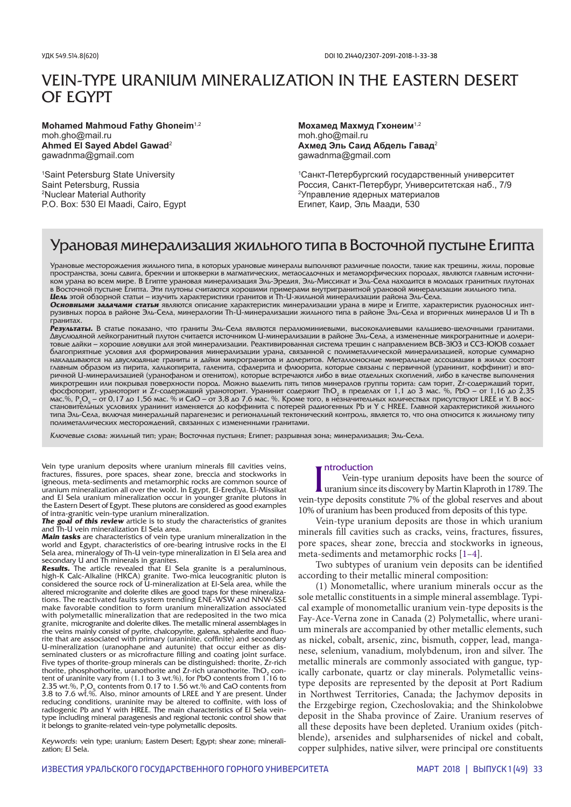# VEIN-TYPE URANIUM MINERALIZATION IN THE EASTERN DESERT OF EGYPT

**Mohamed Mahmoud Fathy Ghoneim**1,2 moh.gho@mail.ru **Ahmed El Sayed Abdel Gawad**<sup>2</sup> gawadnma@gmail.com

1 Saint Petersburg State University Saint Petersburg, Russia 2 Nuclear Material Authority P.O. Box: 530 El Maadi, Cairo, Egypt

**Мохамед Махмуд Гхонеим**1,2 moh.gho@mail.ru **Ахмед Эль Саид Абдель Гавад**<sup>2</sup> gawadnma@gmail.com

1 Санкт-Петербургский государственный университет Россия, Санкт-Петербург, Университетская наб., 7/9 <sup>2</sup>Управление ядерных материалов Египет, Каир, Эль Маади, 530

# Урановая минерализация жильного типа в Восточной пустыне Египта

Урановые месторождения жильного типа, в которых урановые минералы выполняют различные полости, такие как трещины, жилы, поровые пространства, зоны сдвига, брекчии и штокверки в магматических, метаосадочных и метаморфических породах, являются главным источником урана во всем мире. В Египте урановая минерализация Эль-Эредия, Эль-Миссикат и Эль-Села находится в молодых гранитных плутонах в Восточной пустыне Египта. Эти плутоны считаются хорошими примерами внутригранитной урановой минерализации жильного типа. *Цель* этой обзорной статьи – изучить характеристики гранитов и Th-U-жильной минерализации района Эль-Села.

*Основными задачами статьи* являются описание характеристик минерализации урана в мире и Египте, характеристик рудоносных интрузивных пород в районе Эль-Села, минералогии Th-U-минерализации жильного типа в районе Эль-Села и вторичных минералов U и Th в гранитах.

*Результаты.* В статье показано, что граниты Эль-Села являются пералюминиевыми, высококалиевыми кальциево-щелочными гранитами. Двуслюдяной лейкогранитный плутон считается источником U-минерализации в районе Эль-Села, а измененные микрогранитные и долеритовые дайки – хорошие ловушки для этой минерализации. Реактивированная система трещин с направлением ВСВ-ЗЮЗ и ССЗ-ЮЮВ создает благоприятные условия для формирования минерализации урана, связанной с полиметаллической минерализацией, которые суммарно накладываются на двуслюдяные граниты и дайки микрогранитов и долеритов. Металлоносные минеральные ассоциации в жилах состоят главным образом из пирита, халькопирита, галенита, сфалерита и флюорита, которые связаны с первичной (уранинит, коффинит) и вторичной U-минерализацией (уранофаном и отенитом), которые встречаются либо в виде отдельных скоплений, либо в качестве выполнения микротрещин или покрывая поверхности пород. Можно выделить пять типов минералов группы торита: сам торит, Zr-содержащий торит, фосфоторит, ураноторит и Zr-содержащий ураноторит. Уранинит содержит ThO<sub>2</sub> в пределах от 1,1 до 3 мас. %, PbO – от 1,16 до 2,35 мас.%, Р $_2$ С<sub>5</sub> — от 0,17 до 1,56 мас. % и СаО — от 3,8 до 7,6 мас. %. Кроме того, в незначительных количествах присутствуют LREE и Y. В восстановительных условиях уранинит изменяется до коффинита с потерей радиогенных Pb и Y с HREE. Главной характеристикой жильного типа Эль-Села, включая минеральный парагенезис и региональный тектонический контроль, является то, что она относится к жильному типу полиметаллических месторождений, связанных с измененными гранитами.

Ключевые слова: жильный тип; уран; Восточная пустыня; Египет; разрывная зона; минерализация; Эль-Села.

Vein type uranium deposits where uranium minerals fill cavities veins, fractures, fissures, pore spaces, shear zone, breccia and stockworks in igneous, meta-sediments and metamorphic rocks are common source of uranium mineralization all over the wold. In Egypt, El-Erediya, El-Missikat and El Sela uranium mineralization occur in younger granite plutons in the Eastern Desert of Egypt. These plutons are considered as good examples of intra-granitic vein-type uranium mineralization.

**The goal of this review** article is to study the characteristics of granites and Th-U vein mineralization El Sela area.

*Main tasks* are characteristics of vein type uranium mineralization in the world and Egypt, characteristics of ore-bearing intrusive rocks in the El Sela area, mineralogy of Th-U vein-type mineralization in El Sela area and

secondary U and Th minerals in granites. *Results.* The article revealed that El Sela granite is a peraluminous, high-K Calc-Alkaline (HKCA) granite. Two-mica leucogranitic pluton is considered the source rock of U-mineralization at El-Sela area, while the altered microgranite and dolerite dikes are good traps for these mineralizations. The reactivated faults system trending ENE-WSW and NNW-SSE make favorable condition to form uranium mineralization associated with polymetallic mineralization that are redeposited in the two mica granite, microgranite and dolerite dikes. The metallic mineral assemblages in the veins mainly consist of pyrite, chalcopyrite, galena, sphalerite and fluorite that are associated with primary (uraninite, coffinite) and secondary U-mineralization (uranophane and autunite) that occur either as disseminated clusters or as microfracture filling and coating joint surface. Five types of thorite-group minerals can be distinguished: thorite, Zr-rich thorite, phosphothorite, uranothorite and Zr-rich uranothorite. ThO<sub>2</sub> content of uraninite vary from (1.1 to 3 wt.%), for PbO contents from 1.16 to 2.35 wt.%,  $P_2O_5$  contents from 0.17 to 1.56 wt.% and CaO contents from 3.8 to 7.6 wt.%. Also, minor amounts of LREE and Y are present. Under reducing conditions, uraninite may be altered to coffinite, with loss of radiogenic Pb and Y with HREE. The main characteristics of El Sela veintype including mineral paragenesis and regional tectonic control show that it belongs to granite-related vein-type polymetallic deposits.

Keywords: vein type; uranium; Eastern Desert; Egypt; shear zone; mineralization; El Sela.

#### ntroduction

Introduction<br>
Vein-type uranium deposits have been the source of<br>
uranium since its discovery by Martin Klaproth in 1789. The<br>
vein-type deposits constitute 7% of the global reserves and about Vein-type uranium deposits have been the source of uranium since its discovery by Martin Klaproth in 1789. The 10% of uranium has been produced from deposits of this type.

Vein-type uranium deposits are those in which uranium minerals fill cavities such as cracks, veins, fractures, fissures, pore spaces, shear zone, breccia and stockworks in igneous, meta-sediments and metamorphic rocks [1–4].

Two subtypes of uranium vein deposits can be identified according to their metallic mineral composition:

(1) Monometallic, where uranium minerals occur as the sole metallic constituents in a simple mineral assemblage. Typical example of monometallic uranium vein-type deposits is the Fay-Ace-Verna zone in Canada (2) Polymetallic, where uranium minerals are accompanied by other metallic elements, such as nickel, cobalt, arsenic, zinc, bismuth, copper, lead, manganese, selenium, vanadium, molybdenum, iron and silver. The metallic minerals are commonly associated with gangue, typically carbonate, quartz or clay minerals. Polymetallic veinstype deposits are represented by the deposit at Port Radium in Northwest Territories, Canada; the Jachymov deposits in the Erzgebirge region, Czechoslovakia; and the Shinkolobwe deposit in the Shaba province of Zaire. Uranium reserves of all these deposits have been depleted. Uranium oxides (pitchblende), arsenides and sulpharsenides of nickel and cobalt, copper sulphides, native silver, were principal ore constituents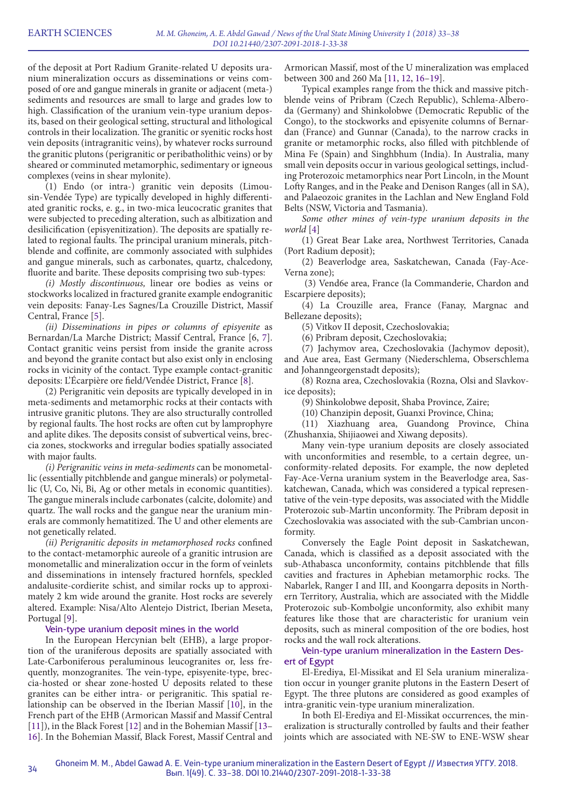of the deposit at Port Radium Granite-related U deposits uranium mineralization occurs as disseminations or veins composed of ore and gangue minerals in granite or adjacent (meta-) sediments and resources are small to large and grades low to high. Classification of the uranium vein-type uranium deposits, based on their geological setting, structural and lithological controls in their localization. The granitic or syenitic rocks host vein deposits (intragranitic veins), by whatever rocks surround the granitic plutons (perigranitic or peribatholithic veins) or by sheared or comminuted metamorphic, sedimentary or igneous complexes (veins in shear mylonite).

(1) Endo (or intra-) granitic vein deposits (Limousin-Vendée Type) are typically developed in highly differentiated granitic rocks, e. g., in two-mica leucocratic granites that were subjected to preceding alteration, such as albitization and desilicification (episyenitization). The deposits are spatially related to regional faults. The principal uranium minerals, pitchblende and coffinite, are commonly associated with sulphides and gangue minerals, such as carbonates, quartz, chalcedony, fluorite and barite. These deposits comprising two sub-types:

*(i) Mostly discontinuous,* linear ore bodies as veins or stockworks localized in fractured granite example endogranitic vein deposits: Fanay-Les Sagnes/La Crouzille District, Massif Central, France [5].

*(ii) Disseminations in pipes or columns of episyenite* as Bernardan/La Marche District; Massif Central, France [6, 7]. Contact granitic veins persist from inside the granite across and beyond the granite contact but also exist only in enclosing rocks in vicinity of the contact. Type example contact-granitic deposits: L'Écarpière ore field/Vendée District, France [8].

(2) Perigranitic vein deposits are typically developed in in meta-sediments and metamorphic rocks at their contacts with intrusive granitic plutons. They are also structurally controlled by regional faults. The host rocks are often cut by lamprophyre and aplite dikes. The deposits consist of subvertical veins, breccia zones, stockworks and irregular bodies spatially associated with major faults.

*(i) Perigranitic veins in meta-sediments* can be monometallic (essentially pitchblende and gangue minerals) or polymetallic (U, Co, Ni, Bi, Ag or other metals in economic quantities). The gangue minerals include carbonates (calcite, dolomite) and quartz. The wall rocks and the gangue near the uranium minerals are commonly hematitized. The U and other elements are not genetically related.

*(ii) Perigranitic deposits in metamorphosed rocks* confined to the contact-metamorphic aureole of a granitic intrusion are monometallic and mineralization occur in the form of veinlets and disseminations in intensely fractured hornfels, speckled andalusite-cordierite schist, and similar rocks up to approximately 2 km wide around the granite. Host rocks are severely altered. Example: Nisa/Alto Alentejo District, Iberian Meseta, Portugal [9].

### Vein-type uranium deposit mines in the world

In the European Hercynian belt (EHB), a large proportion of the uraniferous deposits are spatially associated with Late-Carboniferous peraluminous leucogranites or, less frequently, monzogranites. The vein-type, episyenite-type, breccia-hosted or shear zone-hosted U deposits related to these granites can be either intra- or perigranitic. This spatial relationship can be observed in the Iberian Massif [10], in the French part of the EHB (Armorican Massif and Massif Central [11]), in the Black Forest [12] and in the Bohemian Massif [13– 16]. In the Bohemian Massif, Black Forest, Massif Central and

Armorican Massif, most of the U mineralization was emplaced between 300 and 260 Ma [11, 12, 16–19].

Typical examples range from the thick and massive pitchblende veins of Pribram (Czech Republic), Schlema-Alberoda (Germany) and Shinkolobwe (Democratic Republic of the Congo), to the stockworks and episyenite columns of Bernardan (France) and Gunnar (Canada), to the narrow cracks in granite or metamorphic rocks, also filled with pitchblende of Mina Fe (Spain) and Singhbhum (India). In Australia, many small vein deposits occur in various geological settings, including Proterozoic metamorphics near Port Lincoln, in the Mount Lofty Ranges, and in the Peake and Denison Ranges (all in SA), and Palaeozoic granites in the Lachlan and New England Fold Belts (NSW, Victoria and Tasmania).

*Some other mines of vein-type uranium deposits in the world* [4]

(1) Great Bear Lake area, Northwest Territories, Canada (Port Radium deposit);

(2) Beaverlodge area, Saskatchewan, Canada (Fay-Ace-Verna zone);

 (3) Vend6e area, France (la Commanderie, Chardon and Escarpiere deposits);

(4) La Crouzille area, France (Fanay, Margnac and Bellezane deposits);

(5) Vitkov II deposit, Czechoslovakia;

(6) Pribram deposit, Czechoslovakia;

(7) Jachymov area, Czechoslovakia (Jachymov deposit), and Aue area, East Germany (Niederschlema, Obserschlema and Johanngeorgenstadt deposits);

(8) Rozna area, Czechoslovakia (Rozna, Olsi and Slavkovice deposits);

(9) Shinkolobwe deposit, Shaba Province, Zaire;

(10) Chanzipin deposit, Guanxi Province, China;

(11) Xiazhuang area, Guandong Province, China (Zhushanxia, Shijiaowei and Xiwang deposits).

Many vein-type uranium deposits are closely associated with unconformities and resemble, to a certain degree, unconformity-related deposits. For example, the now depleted Fay-Ace-Verna uranium system in the Beaverlodge area, Saskatchewan, Canada, which was considered a typical representative of the vein-type deposits, was associated with the Middle Proterozoic sub-Martin unconformity. The Pribram deposit in Czechoslovakia was associated with the sub-Cambrian unconformity.

Conversely the Eagle Point deposit in Saskatchewan, Canada, which is classified as a deposit associated with the sub-Athabasca unconformity, contains pitchblende that fills cavities and fractures in Aphebian metamorphic rocks. The Nabarlek, Ranger I and III, and Koongarra deposits in Northern Territory, Australia, which are associated with the Middle Proterozoic sub-Kombolgie unconformity, also exhibit many features like those that are characteristic for uranium vein deposits, such as mineral composition of the ore bodies, host rocks and the wall rock alterations.

# Vein-type uranium mineralization in the Eastern Desert of Egypt

El-Erediya, El-Missikat and El Sela uranium mineralization occur in younger granite plutons in the Eastern Desert of Egypt. The three plutons are considered as good examples of intra-granitic vein-type uranium mineralization.

In both El-Erediya and El-Missikat occurrences, the mineralization is structurally controlled by faults and their feather joints which are associated with NE-SW to ENE-WSW shear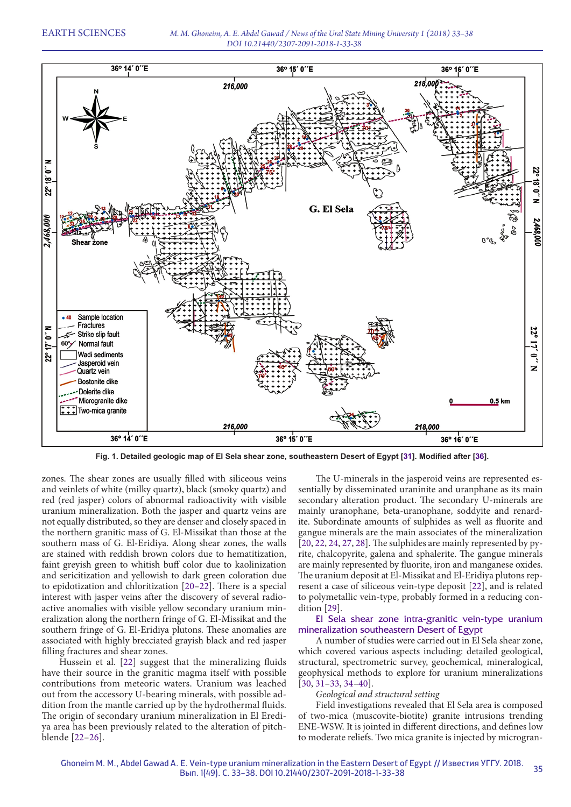

**Fig. 1. Detailed geologic map of El Sela shear zone, southeastern Desert of Egypt [31]. Modified after [36].**

zones. The shear zones are usually filled with siliceous veins and veinlets of white (milky quartz), black (smoky quartz) and red (red jasper) colors of abnormal radioactivity with visible uranium mineralization. Both the jasper and quartz veins are not equally distributed, so they are denser and closely spaced in the northern granitic mass of G. El-Missikat than those at the southern mass of G. El-Eridiya. Along shear zones, the walls are stained with reddish brown colors due to hematitization, faint greyish green to whitish buff color due to kaolinization and sericitization and yellowish to dark green coloration due to epidotization and chloritization [20–22]. There is a special interest with jasper veins after the discovery of several radioactive anomalies with visible yellow secondary uranium mineralization along the northern fringe of G. El-Missikat and the southern fringe of G. El-Eridiya plutons. These anomalies are associated with highly brecciated grayish black and red jasper filling fractures and shear zones.

Hussein et al. [22] suggest that the mineralizing fluids have their source in the granitic magma itself with possible contributions from meteoric waters. Uranium was leached out from the accessory U-bearing minerals, with possible addition from the mantle carried up by the hydrothermal fluids. The origin of secondary uranium mineralization in El Erediya area has been previously related to the alteration of pitchblende [22–26].

The U-minerals in the jasperoid veins are represented essentially by disseminated uraninite and uranphane as its main secondary alteration product. The secondary U-minerals are mainly uranophane, beta-uranophane, soddyite and renardite. Subordinate amounts of sulphides as well as fluorite and gangue minerals are the main associates of the mineralization [20, 22, 24, 27, 28]. The sulphides are mainly represented by pyrite, chalcopyrite, galena and sphalerite. The gangue minerals are mainly represented by fluorite, iron and manganese oxides. The uranium deposit at El-Missikat and El-Eridiya plutons represent a case of siliceous vein-type deposit [22], and is related to polymetallic vein-type, probably formed in a reducing condition [29].

# El Sela shear zone intra-granitic vein-type uranium mineralization southeastern Desert of Egypt

A number of studies were carried out in El Sela shear zone, which covered various aspects including: detailed geological, structural, spectrometric survey, geochemical, mineralogical, geophysical methods to explore for uranium mineralizations [30, 31–33, 34–40].

# *Geological and structural setting*

Field investigations revealed that El Sela area is composed of two-mica (muscovite-biotite) granite intrusions trending ENE-WSW. It is jointed in different directions, and defines low to moderate reliefs. Two mica granite is injected by microgran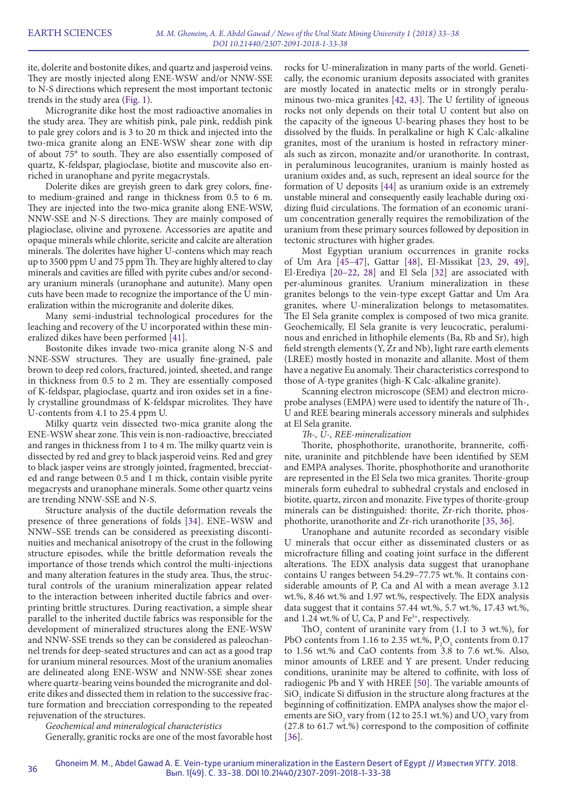ite, dolerite and bostonite dikes, and quartz and jasperoid veins. They are mostly injected along ENE-WSW and/or NNW-SSE to N-S directions which represent the most important tectonic trends in the study area (Fig. 1).

Microgranite dike host the most radioactive anomalies in the study area. They are whitish pink, pale pink, reddish pink to pale grey colors and is 3 to 20 m thick and injected into the two-mica granite along an ENE-WSW shear zone with dip of about 75° to south. They are also essentially composed of quartz, K-feldspar, plagioclase, biotite and muscovite also enriched in uranophane and pyrite megacrystals.

Dolerite dikes are greyish green to dark grey colors, fineto medium-grained and range in thickness from 0.5 to 6 m. They are injected into the two-mica granite along ENE-WSW, NNW-SSE and N-S directions. They are mainly composed of plagioclase, olivine and pyroxene. Accessories are apatite and opaque minerals while chlorite, sericite and calcite are alteration minerals. The dolerites have higher U-contens which may reach up to 3500 ppm U and 75 ppm Th. They are highly altered to clay minerals and cavities are filled with pyrite cubes and/or secondary uranium minerals (uranophane and autunite). Many open cuts have been made to recognize the importance of the U mineralization within the microgranite and dolerite dikes.

Many semi-industrial technological procedures for the leaching and recovery of the U incorporated within these mineralized dikes have been performed [41].

Bostonite dikes invade two-mica granite along N-S and NNE-SSW structures. They are usually fine-grained, pale brown to deep red colors, fractured, jointed, sheeted, and range in thickness from 0.5 to 2 m. They are essentially composed of K-feldspar, plagioclase, quartz and iron oxides set in a finely crystalline groundmass of K-feldspar microlites. They have U-contents from 4.1 to 25.4 ppm U.

Milky quartz vein dissected two-mica granite along the ENE-WSW shear zone. This vein is non-radioactive, brecciated and ranges in thickness from 1 to 4 m. The milky quartz vein is dissected by red and grey to black jasperoid veins. Red and grey to black jasper veins are strongly jointed, fragmented, brecciated and range between 0.5 and 1 m thick, contain visible pyrite megacrysts and uranophane minerals. Some other quartz veins are trending NNW-SSE and N-S.

Structure analysis of the ductile deformation reveals the presence of three generations of folds [34]. ENE–WSW and NNW–SSE trends can be considered as preexisting discontinuities and mechanical anisotropy of the crust in the following structure episodes, while the brittle deformation reveals the importance of those trends which control the multi-injections and many alteration features in the study area. Thus, the structural controls of the uranium mineralization appear related to the interaction between inherited ductile fabrics and overprinting brittle structures. During reactivation, a simple shear parallel to the inherited ductile fabrics was responsible for the development of mineralized structures along the ENE-WSW and NNW-SSE trends so they can be considered as paleochannel trends for deep-seated structures and can act as a good trap for uranium mineral resources. Most of the uranium anomalies are delineated along ENE-WSW and NNW-SSE shear zones where quartz-bearing veins bounded the microgranite and dolerite dikes and dissected them in relation to the successive fracture formation and brecciation corresponding to the repeated rejuvenation of the structures.

### *Geochemical and mineralogical characteristics*

Generally, granitic rocks are one of the most favorable host

rocks for U-mineralization in many parts of the world. Genetically, the economic uranium deposits associated with granites are mostly located in anatectic melts or in strongly peraluminous two-mica granites [42, 43]. The U fertility of igneous rocks not only depends on their total U content but also on the capacity of the igneous U-bearing phases they host to be dissolved by the fluids. In peralkaline or high K Calc-alkaline granites, most of the uranium is hosted in refractory minerals such as zircon, monazite and/or uranothorite. In contrast, in peraluminous leucogranites, uranium is mainly hosted as uranium oxides and, as such, represent an ideal source for the formation of U deposits [44] as uranium oxide is an extremely unstable mineral and consequently easily leachable during oxidizing fluid circulations. The formation of an economic uranium concentration generally requires the remobilization of the uranium from these primary sources followed by deposition in tectonic structures with higher grades.

Most Egyptian uranium occurrences in granite rocks of Um Ara [45–47], Gattar [48], El-Missikat [23, 29, 49], El-Erediya [20–22, 28] and El Sela [32] are associated with per-aluminous granites. Uranium mineralization in these granites belongs to the vein-type except Gattar and Um Ara granites, where U-mineralization belongs to metasomatites. The El Sela granite complex is composed of two mica granite. Geochemically, El Sela granite is very leucocratic, peraluminous and enriched in lithophile elements (Ba, Rb and Sr), high field strength elements (Y, Zr and Nb), light rare earth elements (LREE) mostly hosted in monazite and allanite. Most of them have a negative Eu anomaly. Their characteristics correspond to those of A-type granites (high-K Calc-alkaline granite).

Scanning electron microscope (SEM) and electron microprobe analyses (EMPA) were used to identify the nature of Th-, U and REE bearing minerals accessory minerals and sulphides at El Sela granite.

*Th-, U-, REE-mineralization*

Thorite, phosphothorite, uranothorite, brannerite, coffinite, uraninite and pitchblende have been identified by SEM and EMPA analyses. Thorite, phosphothorite and uranothorite are represented in the El Sela two mica granites. Thorite-group minerals form euhedral to subhedral crystals and enclosed in biotite, quartz, zircon and monazite. Five types of thorite-group minerals can be distinguished: thorite, Zr-rich thorite, phosphothorite, uranothorite and Zr-rich uranothorite [35, 36].

Uranophane and autunite recorded as secondary visible U minerals that occur either as disseminated clusters or as microfracture filling and coating joint surface in the different alterations. The EDX analysis data suggest that uranophane contains U ranges between 54.29–77.75 wt.%. It contains considerable amounts of P, Ca and Al with a mean average 3.12 wt.%, 8.46 wt.% and 1.97 wt.%, respectively. The EDX analysis data suggest that it contains 57.44 wt.%, 5.7 wt.%, 17.43 wt.%, and 1.24 wt.% of U, Ca, P and  $Fe^{3+}$ , respectively.

ThO<sub>2</sub> content of uraninite vary from  $(1.1 \text{ to } 3 \text{ wt.})$ , for PbO contents from 1.16 to 2.35 wt.%,  $P_2O_5$  contents from 0.17 to 1.56 wt.% and CaO contents from 3.8 to 7.6 wt.%. Also, minor amounts of LREE and Y are present. Under reducing conditions, uraninite may be altered to coffinite, with loss of radiogenic Pb and Y with HREE [50]. The variable amounts of  $SiO<sub>2</sub>$  indicate Si diffusion in the structure along fractures at the beginning of coffinitization. EMPA analyses show the major elements are  $SiO_2$  vary from (12 to 25.1 wt.%) and  $UO_2$  vary from (27.8 to 61.7 wt.%) correspond to the composition of coffinite [36].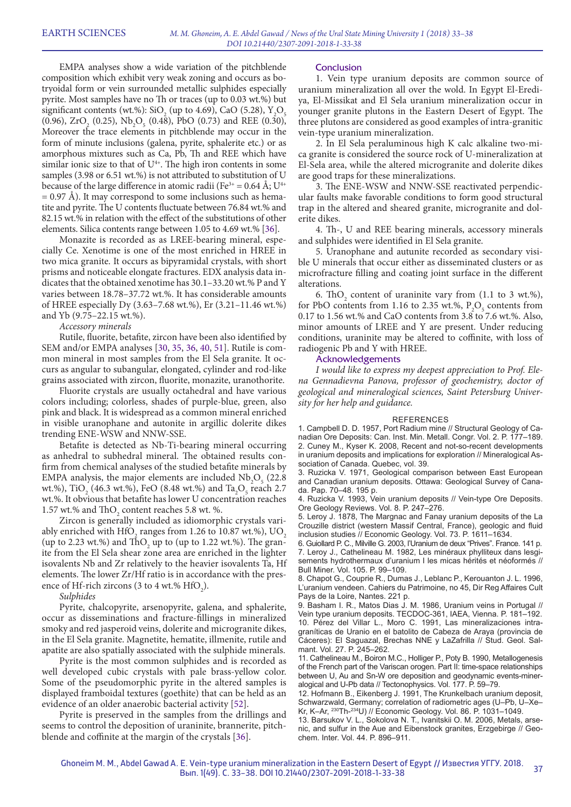EMPA analyses show a wide variation of the pitchblende composition which exhibit very weak zoning and occurs as botryoidal form or vein surrounded metallic sulphides especially pyrite. Most samples have no Th or traces (up to 0.03 wt.%) but significant contents (wt.%): SiO<sub>2</sub> (up to 4.69), CaO (5.28), Y<sub>2</sub>O<sub>5</sub>  $(0.96)$ ,  $ZrO_2$   $(0.25)$ ,  $Nb_2O_5$   $(0.48)$ ,  $PbO$   $(0.73)$  and REE  $(0.30)$ , Moreover the trace elements in pitchblende may occur in the form of minute inclusions (galena, pyrite, sphalerite etc.) or as amorphous mixtures such as Ca, Pb, Th and REE which have similar ionic size to that of  $U<sup>4+</sup>$ . The high iron contents in some samples (3.98 or 6.51 wt.%) is not attributed to substitution of U because of the large difference in atomic radii (Fe<sup>3+</sup> = 0.64 Å;  $U^{4+}$  $= 0.97$  Å). It may correspond to some inclusions such as hematite and pyrite. The U contents fluctuate between 76.84 wt.% and 82.15 wt.% in relation with the effect of the substitutions of other elements. Silica contents range between 1.05 to 4.69 wt.% [36].

Monazite is recorded as as LREE-bearing mineral, especially Ce. Xenotime is one of the most enriched in HREE in two mica granite. It occurs as bipyramidal crystals, with short prisms and noticeable elongate fractures. EDX analysis data indicates that the obtained xenotime has 30.1–33.20 wt.% P and Y varies between 18.78–37.72 wt.%. It has considerable amounts of HREE especially Dy (3.63–7.68 wt.%), Er (3.21–11.46 wt.%) and Yb (9.75–22.15 wt.%).

#### *Accessory minerals*

Rutile, fluorite, betafite, zircon have been also identified by SEM and/or EMPA analyses [30, 35, 36, 40, 51]. Rutile is common mineral in most samples from the El Sela granite. It occurs as angular to subangular, elongated, cylinder and rod-like grains associated with zircon, fluorite, monazite, uranothorite.

Fluorite crystals are usually octahedral and have various colors including; colorless, shades of purple-blue, green, also pink and black. It is widespread as a common mineral enriched in visible uranophane and autonite in argillic dolerite dikes trending ENE-WSW and NNW-SSE.

Betafite is detected as Nb-Ti-bearing mineral occurring as anhedral to subhedral mineral. The obtained results confirm from chemical analyses of the studied betafite minerals by EMPA analysis, the major elements are included  $Nb_2O_5$  (22.8) wt.%), TiO<sub>2</sub> (46.3 wt.%), FeO (8.48 wt.%) and Ta<sub>2</sub>O<sub>5</sub> reach 2.7 wt.%. It obvious that betafite has lower U concentration reaches 1.57 wt.% and  $\text{ThO}_2$  content reaches 5.8 wt. %.

Zircon is generally included as idiomorphic crystals variably enriched with HfO<sub>2</sub> ranges from 1.26 to 10.87 wt.%),  $\rm{UO}_2$ (up to 2.23 wt.%) and  $\text{ThO}_2$  up to (up to 1.22 wt.%). The granite from the El Sela shear zone area are enriched in the lighter isovalents Nb and Zr relatively to the heavier isovalents Ta, Hf elements. The lower Zr/Hf ratio is in accordance with the presence of Hf-rich zircons (3 to 4 wt.%  $HfO_2$ ).

*Sulphides*

Pyrite, chalcopyrite, arsenopyrite, galena, and sphalerite, occur as disseminations and fracture-fillings in mineralized smoky and red jasperoid veins, dolerite and microgranite dikes, in the El Sela granite. Magnetite, hematite, illmenite, rutile and apatite are also spatially associated with the sulphide minerals.

Pyrite is the most common sulphides and is recorded as well developed cubic crystals with pale brass-yellow color. Some of the pseudomorphic pyrite in the altered samples is displayed framboidal textures (goethite) that can be held as an evidence of an older anaerobic bacterial activity [52].

Pyrite is preserved in the samples from the drillings and seems to control the deposition of uraninite, brannerite, pitchblende and coffinite at the margin of the crystals [36].

#### **Conclusion**

1. Vein type uranium deposits are common source of uranium mineralization all over the wold. In Egypt El-Erediya, El-Missikat and El Sela uranium mineralization occur in younger granite plutons in the Eastern Desert of Egypt. The three plutons are considered as good examples of intra-granitic vein-type uranium mineralization.

2. In El Sela peraluminous high K calc alkaline two-mica granite is considered the source rock of U-mineralization at El-Sela area, while the altered microgranite and dolerite dikes are good traps for these mineralizations.

3. The ENE-WSW and NNW-SSE reactivated perpendicular faults make favorable conditions to form good structural trap in the altered and sheared granite, microgranite and dolerite dikes.

4. Th-, U and REE bearing minerals, accessory minerals and sulphides were identified in El Sela granite.

5. Uranophane and autunite recorded as secondary visible U minerals that occur either as disseminated clusters or as microfracture filling and coating joint surface in the different alterations.

6. ThO<sub>2</sub> content of uraninite vary from  $(1.1 \text{ to } 3 \text{ wt.})$ , for PbO contents from 1.16 to 2.35 wt.%,  $P_2O_5$  contents from 0.17 to 1.56 wt.% and CaO contents from 3.8 to 7.6 wt.%. Also, minor amounts of LREE and Y are present. Under reducing conditions, uraninite may be altered to coffinite, with loss of radiogenic Pb and Y with HREE.

#### Acknowledgements

*I would like to express my deepest appreciation to Prof. Elena Gennadievna Panova, professor of geochemistry, doctor of geological and mineralogical sciences, Saint Petersburg University for her help and guidance.*

#### REFERENCES

1. Campbell D. D. 1957, Port Radium mine // Structural Geology of Canadian Ore Deposits: Can. Inst. Min. Metall. Congr. Vol. 2. P. 177–189. 2. Cuney M., Kyser K. 2008, Recent and not-so-recent developments in uranium deposits and implications for exploration // Mineralogical Association of Canada. Quebec, vol. 39.

3. Ruzicka V. 1971, Geological comparison between East European and Canadian uranium deposits. Ottawa: Geological Survey of Canada. Pap. 70–48. 195 p.

4. Ruzicka V. 1993, Vein uranium deposits // Vein-type Ore Deposits. Ore Geology Reviews. Vol. 8. P. 247–276.

5. Leroy J. 1878, The Margnac and Fanay uranium deposits of the La Crouzille district (western Massif Central, France), geologic and fluid inclusion studies // Economic Geology. Vol. 73. P. 1611–1634.

6. Guiollard P. C., Milville G. 2003, l'Uranium de deux "Prives". France. 141 p. 7. Leroy J., Cathelineau M. 1982, Les minéraux phylliteux dans lesgisements hydrothermaux d'uranium I les micas hérités et néoformés // Bull Miner. Vol. 105. P. 99–109.

8. Chapot G., Couprie R., Dumas J., Leblanc P., Kerouanton J. L. 1996, L'uranium vendeen. Cahiers du Patrimoine, no 45, Dir Reg Affaires Cult Pays de la Loire, Nantes. 221 p.

9. Basham I. R., Matos Dias J. M. 1986, Uranium veins in Portugal // Vein type uranium deposits. TECDOC-361, IAEA, Vienna. P. 181–192. 10. Pérez del Villar L., Moro C. 1991, Las mineralizaciones intragraníticas de Uranio en el batolito de Cabeza de Araya (provincia de Cáceres): El Saguazal, Brechas NNE y LaZafrilla // Stud. Geol. Salmant. Vol. 27. P. 245–262.

11. Cathelineau M., Boiron M.C., Holliger P., Poty B. 1990, Metallogenesis of the French part of the Variscan orogen. Part II: time-space relationships between U, Au and Sn-W ore deposition and geodynamic events-mineralogical and U-Pb data // Tectonophysics. Vol. 177. P. 59–79.

12. Hofmann B., Eikenberg J. 1991, The Krunkelbach uranium deposit, Schwarzwald, Germany; correlation of radiometric ages (U–Pb, U–Xe– Kr, K–Ar, 230Th-234U) // Economic Geology. Vol. 86. P. 1031–1049.

13. Barsukov V. L., Sokolova N. T., Ivanitskii O. M. 2006, Metals, arsenic, and sulfur in the Aue and Eibenstock granites, Erzgebirge // Geochem. Inter. Vol. 44. P. 896–911.